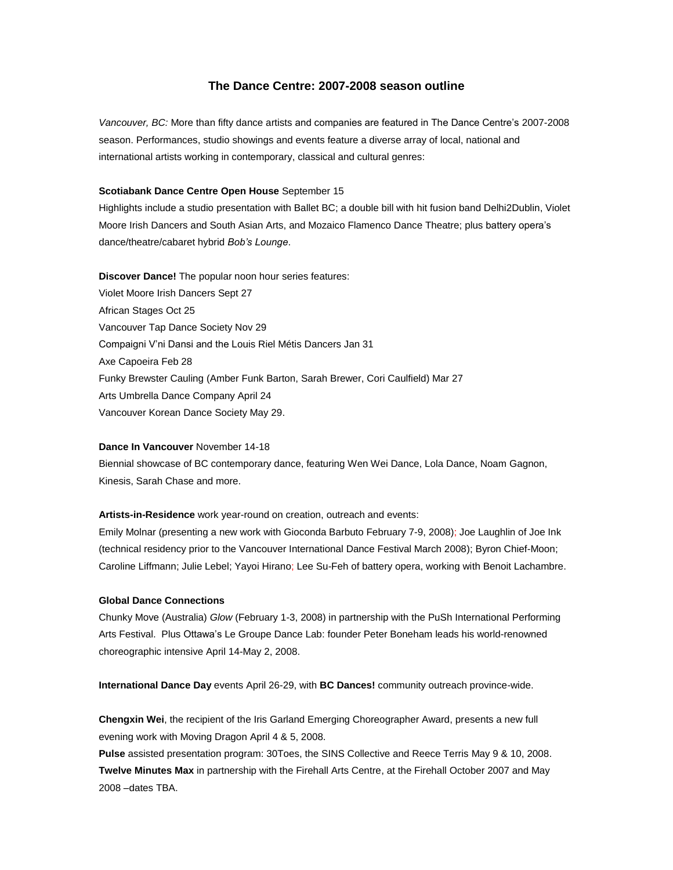# **The Dance Centre: 2007-2008 season outline**

*Vancouver, BC:* More than fifty dance artists and companies are featured in The Dance Centre's 2007-2008 season. Performances, studio showings and events feature a diverse array of local, national and international artists working in contemporary, classical and cultural genres:

#### **Scotiabank Dance Centre Open House** September 15

Highlights include a studio presentation with Ballet BC; a double bill with hit fusion band Delhi2Dublin, Violet Moore Irish Dancers and South Asian Arts, and Mozaico Flamenco Dance Theatre; plus battery opera's dance/theatre/cabaret hybrid *Bob's Lounge*.

**Discover Dance!** The popular noon hour series features: Violet Moore Irish Dancers Sept 27 African Stages Oct 25 Vancouver Tap Dance Society Nov 29 Compaigni V'ni Dansi and the Louis Riel Métis Dancers Jan 31 Axe Capoeira Feb 28 Funky Brewster Cauling (Amber Funk Barton, Sarah Brewer, Cori Caulfield) Mar 27 Arts Umbrella Dance Company April 24 Vancouver Korean Dance Society May 29.

#### **Dance In Vancouver** November 14-18

Biennial showcase of BC contemporary dance, featuring Wen Wei Dance, Lola Dance, Noam Gagnon, Kinesis, Sarah Chase and more.

#### **Artists-in-Residence** work year-round on creation, outreach and events:

Emily Molnar (presenting a new work with Gioconda Barbuto February 7-9, 2008); Joe Laughlin of Joe Ink (technical residency prior to the Vancouver International Dance Festival March 2008); Byron Chief-Moon; Caroline Liffmann; Julie Lebel; Yayoi Hirano; Lee Su-Feh of battery opera, working with Benoit Lachambre.

#### **Global Dance Connections**

Chunky Move (Australia) *Glow* (February 1-3, 2008) in partnership with the PuSh International Performing Arts Festival. Plus Ottawa's Le Groupe Dance Lab: founder Peter Boneham leads his world-renowned choreographic intensive April 14-May 2, 2008.

**International Dance Day** events April 26-29, with **BC Dances!** community outreach province-wide.

**Chengxin Wei**, the recipient of the Iris Garland Emerging Choreographer Award, presents a new full evening work with Moving Dragon April 4 & 5, 2008.

**Pulse** assisted presentation program: 30Toes, the SINS Collective and Reece Terris May 9 & 10, 2008. **Twelve Minutes Max** in partnership with the Firehall Arts Centre, at the Firehall October 2007 and May 2008 –dates TBA.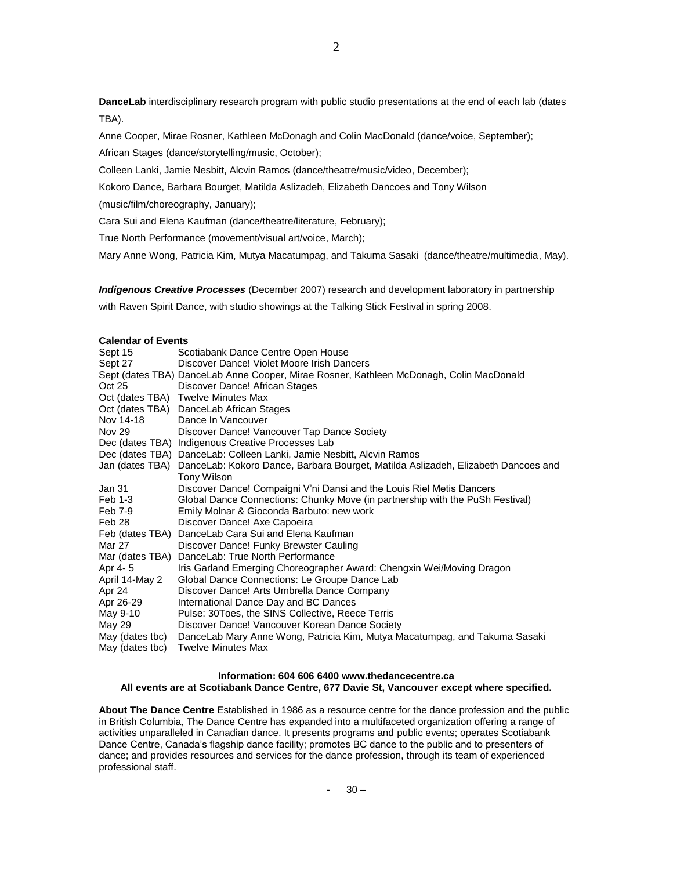**DanceLab** interdisciplinary research program with public studio presentations at the end of each lab (dates TBA).

Anne Cooper, Mirae Rosner, Kathleen McDonagh and Colin MacDonald (dance/voice, September);

African Stages (dance/storytelling/music, October);

Colleen Lanki, Jamie Nesbitt, Alcvin Ramos (dance/theatre/music/video, December);

Kokoro Dance, Barbara Bourget, Matilda Aslizadeh, Elizabeth Dancoes and Tony Wilson

(music/film/choreography, January);

Cara Sui and Elena Kaufman (dance/theatre/literature, February);

True North Performance (movement/visual art/voice, March);

Mary Anne Wong, Patricia Kim, Mutya Macatumpag, and Takuma Sasaki (dance/theatre/multimedia, May).

*Indigenous Creative Processes* (December 2007) research and development laboratory in partnership with Raven Spirit Dance, with studio showings at the Talking Stick Festival in spring 2008.

## **Calendar of Events**

| Sept 15           | Scotiabank Dance Centre Open House                                                                |
|-------------------|---------------------------------------------------------------------------------------------------|
| Sept 27           | Discover Dance! Violet Moore Irish Dancers                                                        |
|                   | Sept (dates TBA) DanceLab Anne Cooper, Mirae Rosner, Kathleen McDonagh, Colin MacDonald           |
| Oct 25            | Discover Dance! African Stages                                                                    |
|                   | Oct (dates TBA) Twelve Minutes Max                                                                |
|                   | Oct (dates TBA) DanceLab African Stages                                                           |
| Nov 14-18         | Dance In Vancouver                                                                                |
| <b>Nov 29</b>     | Discover Dance! Vancouver Tap Dance Society                                                       |
|                   | Dec (dates TBA) Indigenous Creative Processes Lab                                                 |
|                   | Dec (dates TBA) DanceLab: Colleen Lanki, Jamie Nesbitt, Alcvin Ramos                              |
|                   | Jan (dates TBA) DanceLab: Kokoro Dance, Barbara Bourget, Matilda Aslizadeh, Elizabeth Dancoes and |
|                   | Tony Wilson                                                                                       |
| Jan 31            | Discover Dance! Compaigni V'ni Dansi and the Louis Riel Metis Dancers                             |
| Feb 1-3           | Global Dance Connections: Chunky Move (in partnership with the PuSh Festival)                     |
| Feb 7-9           | Emily Molnar & Gioconda Barbuto: new work                                                         |
| Feb <sub>28</sub> | Discover Dance! Axe Capoeira                                                                      |
| Feb (dates TBA)   | DanceLab Cara Sui and Elena Kaufman                                                               |
| Mar 27            | Discover Dance! Funky Brewster Cauling                                                            |
| Mar (dates TBA)   | DanceLab: True North Performance                                                                  |
| Apr 4-5           | Iris Garland Emerging Choreographer Award: Chengxin Wei/Moving Dragon                             |
| April 14-May 2    | Global Dance Connections: Le Groupe Dance Lab                                                     |
| Apr 24            | Discover Dance! Arts Umbrella Dance Company                                                       |
| Apr 26-29         | International Dance Day and BC Dances                                                             |
| May 9-10          | Pulse: 30Toes, the SINS Collective, Reece Terris                                                  |
| May 29            | Discover Dance! Vancouver Korean Dance Society                                                    |
| May (dates tbc)   | DanceLab Mary Anne Wong, Patricia Kim, Mutya Macatumpag, and Takuma Sasaki                        |
| May (dates tbc)   | <b>Twelve Minutes Max</b>                                                                         |

### **Information: 604 606 6400 www.thedancecentre.ca All events are at Scotiabank Dance Centre, 677 Davie St, Vancouver except where specified.**

**About The Dance Centre** Established in 1986 as a resource centre for the dance profession and the public in British Columbia, The Dance Centre has expanded into a multifaceted organization offering a range of activities unparalleled in Canadian dance. It presents programs and public events; operates Scotiabank Dance Centre, Canada's flagship dance facility; promotes BC dance to the public and to presenters of dance; and provides resources and services for the dance profession, through its team of experienced professional staff.